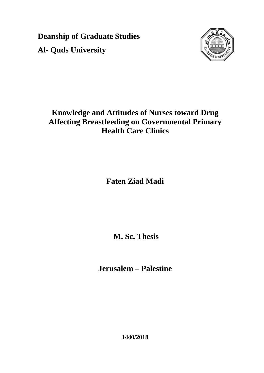**Deanship of Graduate Studies Al- Quds University**



# **Knowledge and Attitudes of Nurses toward Drug Affecting Breastfeeding on Governmental Primary Health Care Clinics**

**Faten Ziad Madi**

**M. Sc. Thesis**

**Jerusalem – Palestine**

**1440/2018**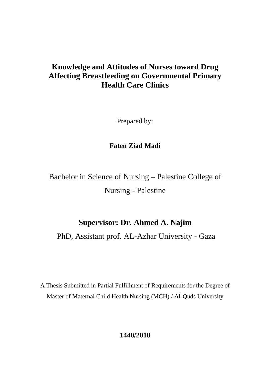# **Knowledge and Attitudes of Nurses toward Drug Affecting Breastfeeding on Governmental Primary Health Care Clinics**

Prepared by:

**Faten Ziad Madi**

Bachelor in Science of Nursing – Palestine College of Nursing - Palestine

# **Supervisor: Dr. Ahmed A. Najim**

PhD, Assistant prof. AL-Azhar University - Gaza

A Thesis Submitted in Partial Fulfillment of Requirements for the Degree of Master of Maternal Child Health Nursing (MCH) / Al-Quds University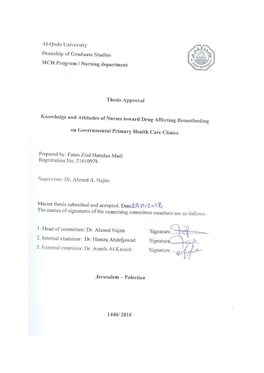**Al-Quds University Deanship of Graduate Studies MCH Program / Nursing department** 



### **Thesis Approval**

# Knowledge and Attitudes of Nurses toward Drug Affecting Breastfeeding

# on Governmental Primary Health Care Clinics

Prepared by: Faten Ziad Hamdan Madi Registration No.:21610978

Supervisor: Dr. Ahmed A. Najim

Master thesis submitted and accepted. Date 23/12/2018 The names of signatures of the examining committee members are as follows:

1. Head of committee: Dr. Ahmed Najim 2. Internal examiner: Dr. Hamza Abdeljawad 3. External examiner: Dr. Areefa Al-Kaseeh

Signature.... Signature...

Jerusalem - Palestine

1440/2018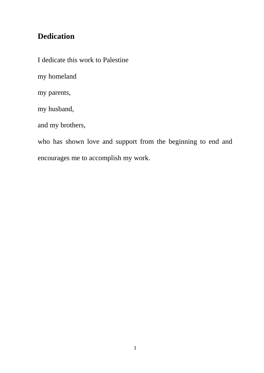# **Dedication**

I dedicate this work to Palestine

my homeland

my parents,

my husband,

and my brothers,

who has shown love and support from the beginning to end and encourages me to accomplish my work.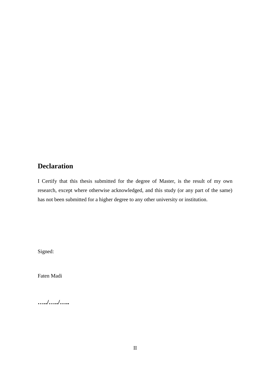### **Declaration**

I Certify that this thesis submitted for the degree of Master, is the result of my own research, except where otherwise acknowledged, and this study (or any part of the same) has not been submitted for a higher degree to any other university or institution.

Signed:

Faten Madi

**…../…../…..**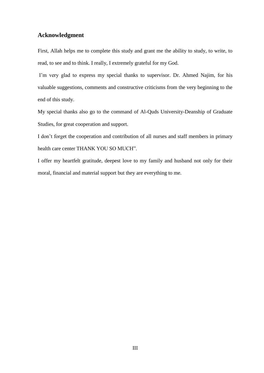### **Acknowledgment**

First, Allah helps me to complete this study and grant me the ability to study, to write, to read, to see and to think. I really, I extremely grateful for my God.

I'm very glad to express my special thanks to supervisor. Dr. Ahmed Najim, for his valuable suggestions, comments and constructive criticisms from the very beginning to the end of this study.

My special thanks also go to the command of Al-Quds University-Deanship of Graduate Studies, for great cooperation and support.

I don"t forget the cooperation and contribution of all nurses and staff members in primary health care center THANK YOU SO MUCH".

I offer my heartfelt gratitude, deepest love to my family and husband not only for their moral, financial and material support but they are everything to me.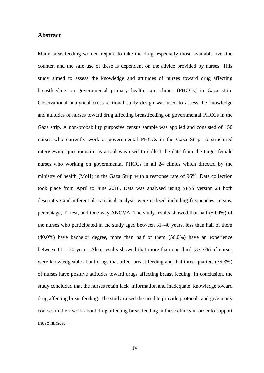### **Abstract**

Many breastfeeding women require to take the drug, especially those available over-the counter, and the safe use of these is dependent on the advice provided by nurses. This study aimed to assess the knowledge and attitudes of nurses toward drug affecting breastfeeding on governmental primary health care clinics (PHCCs) in Gaza strip. Observational analytical cross-sectional study design was used to assess the knowledge and attitudes of nurses toward drug affecting breastfeeding on governmental PHCCs in the Gaza strip. A non-probability purposive census sample was applied and consisted of 150 nurses who currently work at governmental PHCCs in the Gaza Strip. A structured interviewing questionnaire as a tool was used to collect the data from the target female nurses who working on governmental PHCCs in all 24 clinics which directed by the ministry of health (MoH) in the Gaza Strip with a response rate of 96%. Data collection took place from April to June 2018. Data was analyzed using SPSS version 24 both descriptive and inferential statistical analysis were utilized including frequencies, means, percentage, T- test, and One-way ANOVA. The study results showed that half (50.0%) of the nurses who participated in the study aged between 31–40 years, less than half of them (40.0%) have bachelor degree, more than half of them (56.0%) have an experience between  $11 - 20$  years. Also, results showed that more than one-third  $(37.7%)$  of nurses were knowledgeable about drugs that affect breast feeding and that three-quarters (75.3%) of nurses have positive attitudes toward drugs affecting breast feeding. In conclusion, the study concluded that the nurses retain lack information and inadequate knowledge toward drug affecting breastfeeding. The study raised the need to provide protocols and give many courses in their work about drug affecting breastfeeding in these clinics in order to support those nurses.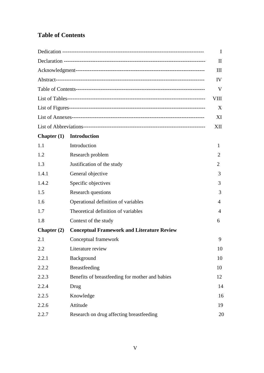### **Table of Contents**

|               |                                                   | I    |
|---------------|---------------------------------------------------|------|
|               |                                                   | П    |
|               |                                                   | Ш    |
|               |                                                   | IV   |
|               |                                                   | V    |
|               |                                                   | VIII |
|               |                                                   | X    |
|               |                                                   | XI   |
|               |                                                   | XII  |
| Chapter $(1)$ | <b>Introduction</b>                               |      |
| 1.1           | Introduction                                      | 1    |
| 1.2           | Research problem                                  | 2    |
| 1.3           | Justification of the study                        | 2    |
| 1.4.1         | General objective                                 | 3    |
| 1.4.2         | Specific objectives                               | 3    |
| 1.5           | Research questions                                | 3    |
| 1.6           | Operational definition of variables               | 4    |
| 1.7           | Theoretical definition of variables               | 4    |
| 1.8           | Context of the study                              | 6    |
| Chapter $(2)$ | <b>Conceptual Framework and Literature Review</b> |      |
| 2.1           | Conceptual framework                              | 9    |
| 2.2           | Literature review                                 | 10   |
| 2.2.1         | Background                                        | 10   |
| 2.2.2         | Breastfeeding                                     | 10   |
| 2.2.3         | Benefits of breastfeeding for mother and babies   | 12   |
| 2.2.4         | Drug                                              | 14   |
| 2.2.5         | Knowledge                                         | 16   |
| 2.2.6         | Attitude                                          | 19   |
| 2.2.7         | Research on drug affecting breastfeeding          | 20   |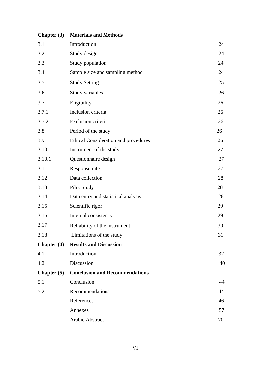| Chapter $(3)$      | <b>Materials and Methods</b>                |    |
|--------------------|---------------------------------------------|----|
| 3.1                | Introduction                                | 24 |
| 3.2                | Study design                                | 24 |
| 3.3                | Study population                            | 24 |
| 3.4                | Sample size and sampling method             | 24 |
| 3.5                | <b>Study Setting</b>                        | 25 |
| 3.6                | Study variables                             | 26 |
| 3.7                | Eligibility                                 | 26 |
| 3.7.1              | Inclusion criteria                          | 26 |
| 3.7.2              | Exclusion criteria                          | 26 |
| 3.8                | Period of the study                         | 26 |
| 3.9                | <b>Ethical Consideration and procedures</b> | 26 |
| 3.10               | Instrument of the study                     | 27 |
| 3.10.1             | Questionnaire design                        | 27 |
| 3.11               | Response rate                               | 27 |
| 3.12               | Data collection                             | 28 |
| 3.13               | Pilot Study                                 | 28 |
| 3.14               | Data entry and statistical analysis         | 28 |
| 3.15               | Scientific rigor                            | 29 |
| 3.16               | Internal consistency                        | 29 |
| 3.17               | Reliability of the instrument               | 30 |
| 3.18               | Limitations of the study                    | 31 |
| <b>Chapter</b> (4) | <b>Results and Discussion</b>               |    |
| 4.1                | Introduction                                | 32 |
| 4.2                | Discussion                                  | 40 |
| Chapter $(5)$      | <b>Conclusion and Recommendations</b>       |    |
| 5.1                | Conclusion                                  | 44 |
| 5.2                | Recommendations                             | 44 |
|                    | References                                  | 46 |
|                    | Annexes                                     | 57 |
|                    | Arabic Abstract                             | 70 |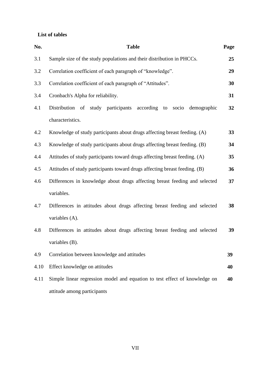### **List of tables**

| No.  | <b>Table</b>                                                               | Page |
|------|----------------------------------------------------------------------------|------|
| 3.1  | Sample size of the study populations and their distribution in PHCCs.      | 25   |
| 3.2  | Correlation coefficient of each paragraph of "knowledge".                  | 29   |
| 3.3  | Correlation coefficient of each paragraph of "Attitudes".                  | 30   |
| 3.4  | Cronbach's Alpha for reliability.                                          | 31   |
| 4.1  | Distribution of study participants according<br>to socio demographic       | 32   |
|      | characteristics.                                                           |      |
| 4.2  | Knowledge of study participants about drugs affecting breast feeding. (A)  | 33   |
| 4.3  | Knowledge of study participants about drugs affecting breast feeding. (B)  | 34   |
| 4.4  | Attitudes of study participants toward drugs affecting breast feeding. (A) | 35   |
| 4.5  | Attitudes of study participants toward drugs affecting breast feeding. (B) | 36   |
| 4.6  | Differences in knowledge about drugs affecting breast feeding and selected | 37   |
|      | variables.                                                                 |      |
| 4.7  | Differences in attitudes about drugs affecting breast feeding and selected | 38   |
|      | variables (A).                                                             |      |
| 4.8  | Differences in attitudes about drugs affecting breast feeding and selected | 39   |
|      | variables (B).                                                             |      |
| 4.9  | Correlation between knowledge and attitudes                                | 39   |
| 4.10 | Effect knowledge on attitudes                                              | 40   |
| 4.11 | Simple linear regression model and equation to test effect of knowledge on | 40   |
|      | attitude among participants                                                |      |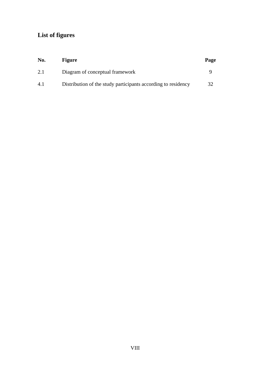## **List of figures**

| No. | <b>Figure</b>                                                 | Page |
|-----|---------------------------------------------------------------|------|
| 2.1 | Diagram of conceptual framework                               |      |
| 4.1 | Distribution of the study participants according to residency | 32   |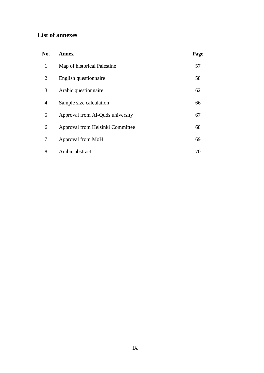### **List of annexes**

| No.            | <b>Annex</b>                     | Page |
|----------------|----------------------------------|------|
| $\mathbf{1}$   | Map of historical Palestine      | 57   |
| $\overline{2}$ | English questionnaire            | 58   |
| 3              | Arabic questionnaire             | 62   |
| 4              | Sample size calculation          | 66   |
| 5              | Approval from Al-Quds university | 67   |
| 6              | Approval from Helsinki Committee | 68   |
| 7              | Approval from MoH                | 69   |
| 8              | Arabic abstract                  | 70   |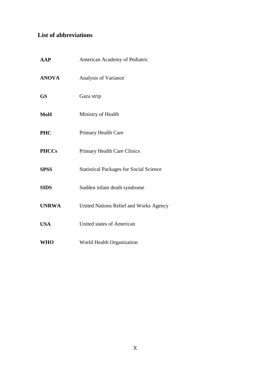### **List of abbreviations**

| <b>AAP</b>   | American Academy of Pediatric                  |
|--------------|------------------------------------------------|
| <b>ANOVA</b> | Analysis of Variance                           |
| <b>GS</b>    | Gaza strip                                     |
| MoH          | Ministry of Health                             |
| <b>PHC</b>   | Primary Health Care                            |
| <b>PHCCs</b> | <b>Primary Health Care Clinics</b>             |
| <b>SPSS</b>  | <b>Statistical Packages for Social Science</b> |
| <b>SIDS</b>  | Sudden infant death syndrome                   |
| <b>UNRWA</b> | United Nations Relief and Works Agency         |
| <b>USA</b>   | <b>United states of American</b>               |
| <b>WHO</b>   | World Health Organization                      |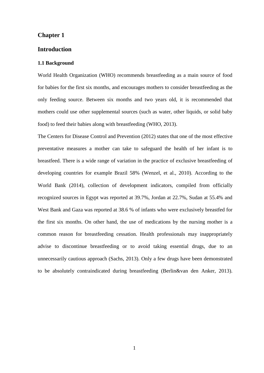### **Chapter 1**

### **Introduction**

#### **1.1 Background**

World Health Organization (WHO) recommends breastfeeding as a main source of food for babies for the first six months, and encourages mothers to consider breastfeeding as the only feeding source. Between six months and two years old, it is recommended that mothers could use other supplemental sources (such as water, other liquids, or solid baby food) to feed their babies along with breastfeeding (WHO, 2013).

The Centers for Disease Control and Prevention (2012) states that one of the most effective preventative measures a mother can take to safeguard the health of her infant is to breastfeed. There is a wide range of variation in the practice of exclusive breastfeeding of developing countries for example Brazil 58% (Wenzel, et al., 2010). According to the World Bank (2014), collection of development indicators, compiled from officially recognized sources in Egypt was reported at 39.7%, Jordan at 22.7%, Sudan at 55.4% and West Bank and Gaza was reported at 38.6 % of infants who were exclusively breastfed for the first six months. On other hand, the use of medications by the nursing mother is a common reason for breastfeeding cessation. Health professionals may inappropriately advise to discontinue breastfeeding or to avoid taking essential drugs, due to an unnecessarily cautious approach (Sachs, 2013). Only a few drugs have been demonstrated to be absolutely contraindicated during breastfeeding (Berlin&van den Anker, 2013).